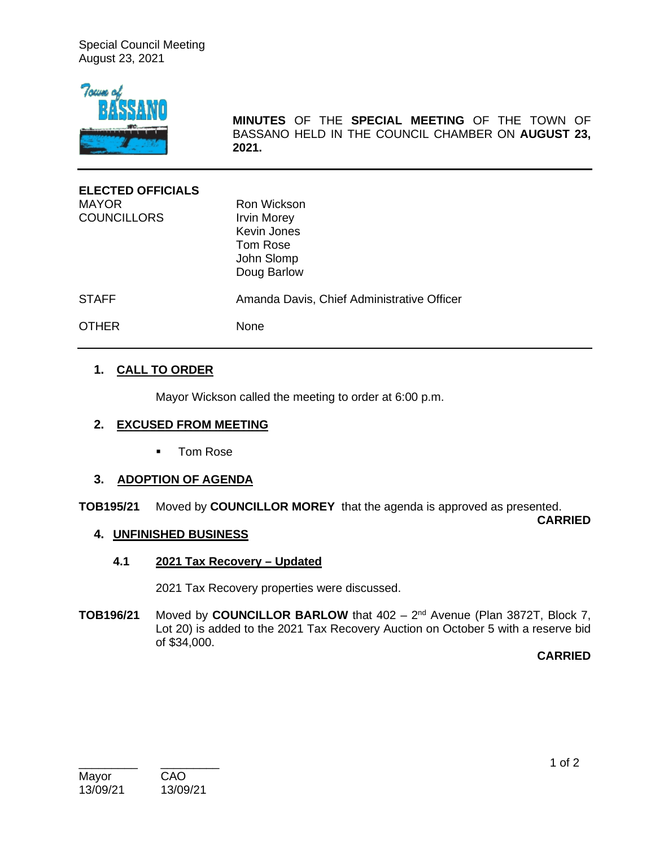Special Council Meeting August 23, 2021



**MINUTES** OF THE **SPECIAL MEETING** OF THE TOWN OF BASSANO HELD IN THE COUNCIL CHAMBER ON **AUGUST 23, 2021.**

| <b>ELECTED OFFICIALS</b> |                                            |
|--------------------------|--------------------------------------------|
| <b>MAYOR</b>             | Ron Wickson                                |
| <b>COUNCILLORS</b>       | <b>Irvin Morey</b>                         |
|                          | <b>Kevin Jones</b>                         |
|                          | Tom Rose                                   |
|                          | John Slomp                                 |
|                          | Doug Barlow                                |
| <b>STAFF</b>             | Amanda Davis, Chief Administrative Officer |
| <b>OTHER</b>             | <b>None</b>                                |

# **1. CALL TO ORDER**

Mayor Wickson called the meeting to order at 6:00 p.m.

#### **2. EXCUSED FROM MEETING**

■ Tom Rose

#### **3. ADOPTION OF AGENDA**

**TOB195/21** Moved by **COUNCILLOR MOREY** that the agenda is approved as presented.

**CARRIED**

## **4. UNFINISHED BUSINESS**

**4.1 2021 Tax Recovery – Updated** 

2021 Tax Recovery properties were discussed.

**TOB196/21** Moved by **COUNCILLOR BARLOW** that 402 – 2nd Avenue (Plan 3872T, Block 7, Lot 20) is added to the 2021 Tax Recovery Auction on October 5 with a reserve bid of \$34,000.

**CARRIED**